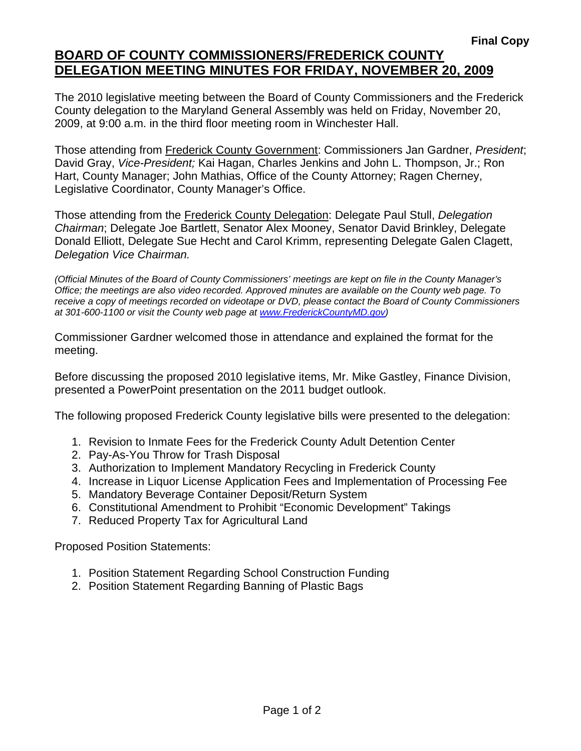## **BOARD OF COUNTY COMMISSIONERS/FREDERICK COUNTY DELEGATION MEETING MINUTES FOR FRIDAY, NOVEMBER 20, 2009**

The 2010 legislative meeting between the Board of County Commissioners and the Frederick County delegation to the Maryland General Assembly was held on Friday, November 20, 2009, at 9:00 a.m. in the third floor meeting room in Winchester Hall.

Those attending from Frederick County Government: Commissioners Jan Gardner, *President*; David Gray, *Vice-President;* Kai Hagan, Charles Jenkins and John L. Thompson, Jr.; Ron Hart, County Manager; John Mathias, Office of the County Attorney; Ragen Cherney, Legislative Coordinator, County Manager's Office.

Those attending from the Frederick County Delegation: Delegate Paul Stull, *Delegation Chairman*; Delegate Joe Bartlett, Senator Alex Mooney, Senator David Brinkley, Delegate Donald Elliott, Delegate Sue Hecht and Carol Krimm, representing Delegate Galen Clagett, *Delegation Vice Chairman.* 

*(Official Minutes of the Board of County Commissioners' meetings are kept on file in the County Manager's Office; the meetings are also video recorded. Approved minutes are available on the County web page. To receive a copy of meetings recorded on videotape or DVD, please contact the Board of County Commissioners at 301-600-1100 or visit the County web page at www.FrederickCountyMD.gov)* 

Commissioner Gardner welcomed those in attendance and explained the format for the meeting.

Before discussing the proposed 2010 legislative items, Mr. Mike Gastley, Finance Division, presented a PowerPoint presentation on the 2011 budget outlook.

The following proposed Frederick County legislative bills were presented to the delegation:

- 1. Revision to Inmate Fees for the Frederick County Adult Detention Center
- 2. Pay-As-You Throw for Trash Disposal
- 3. Authorization to Implement Mandatory Recycling in Frederick County
- 4. Increase in Liquor License Application Fees and Implementation of Processing Fee
- 5. Mandatory Beverage Container Deposit/Return System
- 6. Constitutional Amendment to Prohibit "Economic Development" Takings
- 7. Reduced Property Tax for Agricultural Land

Proposed Position Statements:

- 1. Position Statement Regarding School Construction Funding
- 2. Position Statement Regarding Banning of Plastic Bags